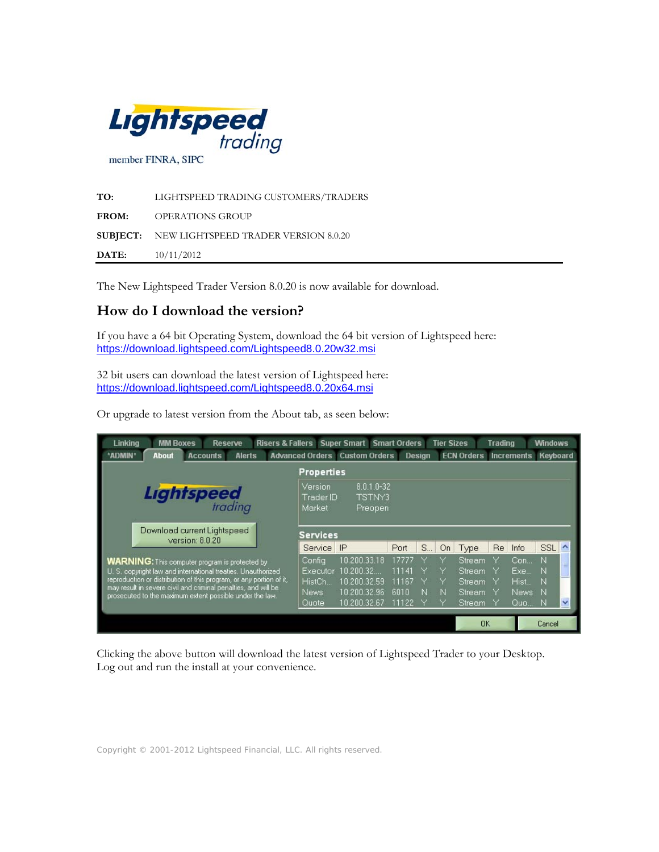

| TO:          | LIGHTSPEED TRADING CUSTOMERS/TRADERS                 |
|--------------|------------------------------------------------------|
| <b>FROM:</b> | OPERATIONS GROUP                                     |
|              | <b>SUBJECT:</b> NEW LIGHTSPEED TRADER VERSION 8.0.20 |
| DATE:        | 10/11/2012                                           |

The New Lightspeed Trader Version 8.0.20 is now available for download.

# **How do I download the version?**

If you have a 64 bit Operating System, download the 64 bit version of Lightspeed here: <https://download.lightspeed.com/Lightspeed8.0.20w32.msi>

32 bit users can download the latest version of Lightspeed here: https://download.lightspeed.com/Lightspeed8.0.20x64.msi

Or upgrade to latest version from the About tab, as seen below:



Clicking the above button will download the latest version of Lightspeed Trader to your Desktop. Log out and run the install at your convenience.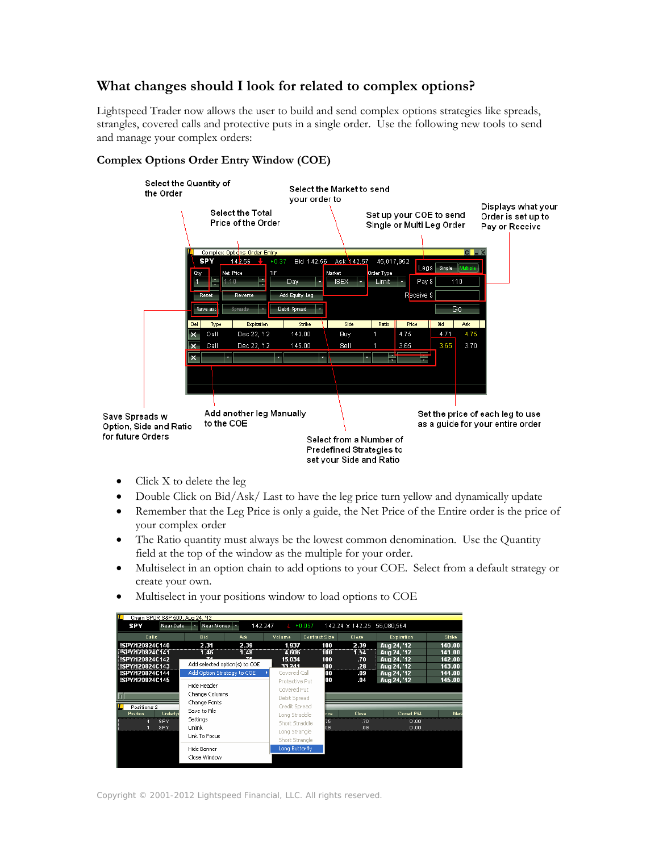# **What changes should I look for related to complex options?**

Lightspeed Trader now allows the user to build and send complex options strategies like spreads, strangles, covered calls and protective puts in a single order. Use the following new tools to send and manage your complex orders:



# **Complex Options Order Entry Window (COE)**

- Click X to delete the leg
- Double Click on Bid/Ask/ Last to have the leg price turn yellow and dynamically update
- Remember that the Leg Price is only a guide, the Net Price of the Entire order is the price of your complex order
- The Ratio quantity must always be the lowest common denomination. Use the Quantity field at the top of the window as the multiple for your order.
- Multiselect in an option chain to add options to your COE. Select from a default strategy or create your own.
- Multiselect in your positions window to load options to COE

| Chain SPDR S&P 500, Aug 24, '12                       |                                               |              |                                                  |                      |                            |                                           |                            |
|-------------------------------------------------------|-----------------------------------------------|--------------|--------------------------------------------------|----------------------|----------------------------|-------------------------------------------|----------------------------|
| <b>SPY</b><br>Near Date                               | Near Money<br>×.                              | 142.247      |                                                  | $+0.057$             | 142.24 x 142.25 56.080.564 |                                           |                            |
| Calls                                                 | <b>Bid</b>                                    | Ask          | Volume                                           | <b>Contract Size</b> | Close                      | Expiration                                | <b>Strike</b>              |
| SPY/120824C140<br>SPY/120824C141<br>SPY/120824C142    | 2.31<br>1.46<br>Add selected option(s) to COE | 2.39<br>1.48 | 1.937<br>4,606<br>15.034                         | 100<br>100<br>100    | 2.39<br>1.54<br>.70        | Aug 24, '12<br>Aug 24, '12<br>Aug 24, '12 | 140.00<br>141.00<br>142.00 |
| !SPY/120824C143<br>!SPY/120824C144<br>!SPY/120824C145 | Add Option Strategy to COE                    |              | 33 241<br>Covered Call<br>Protective Put         | 100<br>loo<br>00     | .28<br>.09<br>.04          | Aug 24, '12<br>Aug 24, '12<br>Aug 24, '12 | 143.00<br>144.00<br>145.00 |
|                                                       | Hide Header<br>Change Columns<br>Change Fonts |              | Covered Put<br>Debit Spread                      |                      |                            |                                           |                            |
| Positions 2<br>Underlyi<br>Position<br><b>SPY</b>     | Save to File<br><b>Settinas</b>               |              | Credit Spread<br>Long Straddle<br>Short Straddle | rice<br>75           | Close<br>.70               | Closed P&L<br>0.00                        | Mark                       |
| SPY                                                   | Unlink<br>Link To Focus                       |              | Long Strangle<br>Short Strangle                  | 19                   | .09                        | 0.00                                      |                            |
|                                                       | Hide Banner<br>Close Window                   |              | Long Butterfly                                   |                      |                            |                                           |                            |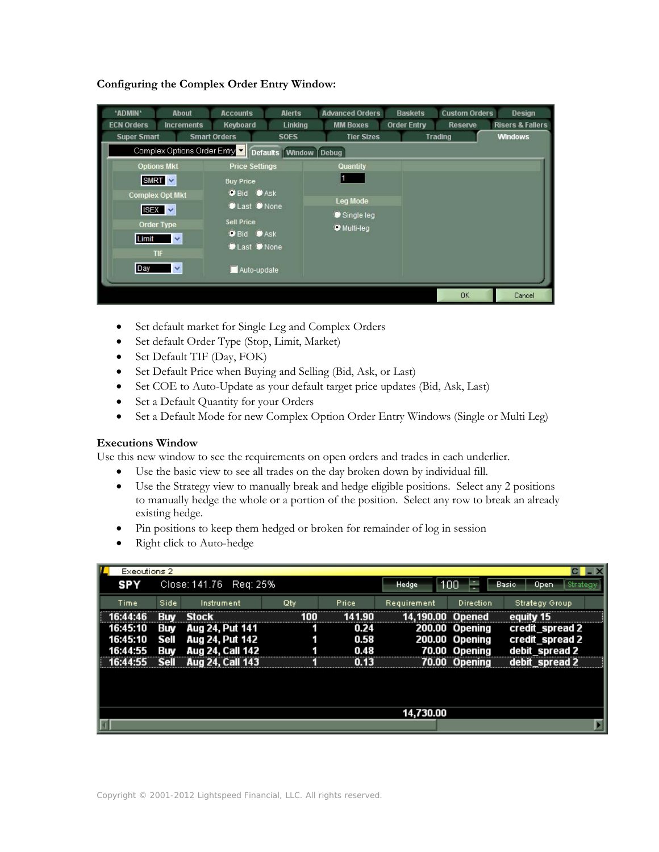| *ADMIN*<br><b>About</b><br><b>ECN Orders</b><br><b>Increments</b><br><b>Super Smart</b>                                                                                                 | <b>Accounts</b><br>Keyboard<br><b>Smart Orders</b>                                                                                                       | <b>Alerts</b><br>Linking<br><b>SOES</b> | <b>Advanced Orders</b><br><b>MM Boxes</b><br><b>Tier Sizes</b>      | <b>Baskets</b><br><b>Order Entry</b> | <b>Custom Orders</b><br>Reserve<br><b>Trading</b> | Design<br><b>Risers &amp; Fallers</b><br><b>Windows</b> |
|-----------------------------------------------------------------------------------------------------------------------------------------------------------------------------------------|----------------------------------------------------------------------------------------------------------------------------------------------------------|-----------------------------------------|---------------------------------------------------------------------|--------------------------------------|---------------------------------------------------|---------------------------------------------------------|
| Complex Options Order Entry<br><b>Options Mkt</b><br>$SMRT \sim$<br><b>Complex Opt Mkt</b><br>$ISEX \times$<br>Order Type<br>Limit<br>$\checkmark$<br><b>TIF</b><br>Day<br>$\checkmark$ | <b>Price Settings</b><br><b>Buy Price</b><br><b>O</b> Bid Ask<br>Last None<br><b>Sell Price</b><br><b>O</b> Bid <b>D</b> Ask<br>Last None<br>Auto-update | Defaults Window Debug                   | <b>Quantity</b><br>11<br>Leg Mode<br>Single leg<br><b>Wulti-leg</b> |                                      |                                                   |                                                         |
|                                                                                                                                                                                         |                                                                                                                                                          |                                         |                                                                     |                                      | <b>OK</b>                                         | Cancel                                                  |

**Configuring the Complex Order Entry Window:** 

- Set default market for Single Leg and Complex Orders
- Set default Order Type (Stop, Limit, Market)
- Set Default TIF (Day, FOK)
- Set Default Price when Buying and Selling (Bid, Ask, or Last)
- Set COE to Auto-Update as your default target price updates (Bid, Ask, Last)
- Set a Default Quantity for your Orders
- Set a Default Mode for new Complex Option Order Entry Windows (Single or Multi Leg)

### **Executions Window**

Use this new window to see the requirements on open orders and trades in each underlier.

- Use the basic view to see all trades on the day broken down by individual fill.
- Use the Strategy view to manually break and hedge eligible positions. Select any 2 positions to manually hedge the whole or a portion of the position. Select any row to break an already existing hedge.
- Pin positions to keep them hedged or broken for remainder of log in session
- Right click to Auto-hedge

| Executions 2 |             |                        |     |              |              |                |                        |
|--------------|-------------|------------------------|-----|--------------|--------------|----------------|------------------------|
| <b>SPY</b>   |             | Close: 141.76 Req: 25% |     |              | <b>Hedge</b> | 100            | Basic<br>Strat<br>Open |
| Time         | Side        | Instrument             | Qty | <b>Price</b> | Requirement  | Direction      | <b>Strategy Group</b>  |
|              | Rım         | <b>Stock</b>           |     | 141. A D     | .190.00 .    | Opened         | equity 15              |
| 16:45:10     | Buy         | Aug 24, Put 141        |     | 0.24         |              | 200.00 Opening | credit_spread 2        |
| 16:45:10     | Sell        | Aug 24, Put 142        |     | 0.58         |              | 200.00 Opening | credit_spread 2        |
| 44.55        | Buv         | Aug 24, Call 142       |     | 0.48         |              | 70.00 Opening  | debit_spread 2         |
|              | <b>Sell</b> | Aug 24, Call 143       |     | 0.13         |              | 70.00 Opening  | debit spread 2         |
|              |             |                        |     |              |              |                |                        |
|              |             |                        |     |              | 14,730.00    |                |                        |
|              |             |                        |     |              |              |                |                        |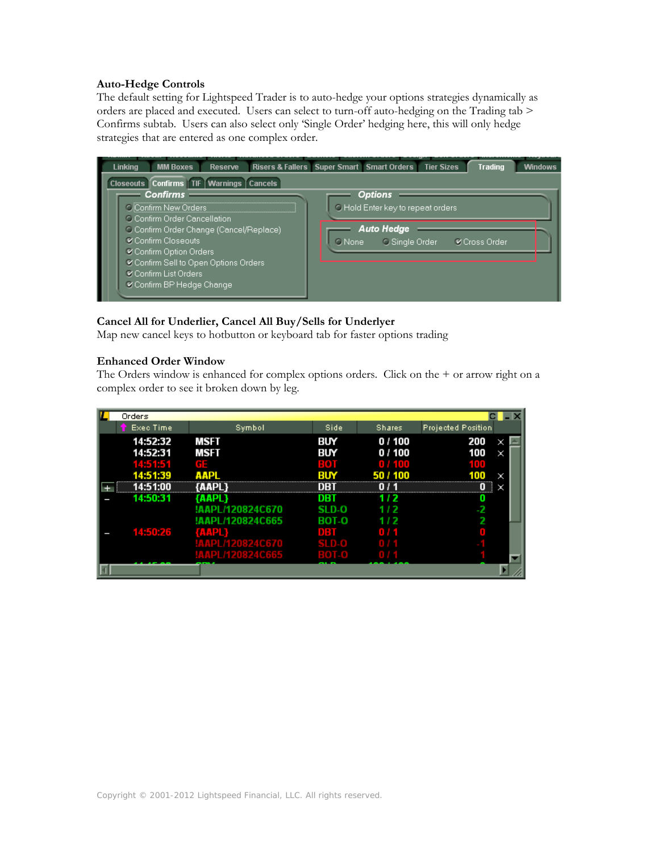#### **Auto-Hedge Controls**

The default setting for Lightspeed Trader is to auto-hedge your options strategies dynamically as orders are placed and executed. Users can select to turn-off auto-hedging on the Trading tab > Confirms subtab. Users can also select only 'Single Order' hedging here, this will only hedge strategies that are entered as one complex order.



### **Cancel All for Underlier, Cancel All Buy/Sells for Underlyer**

Map new cancel keys to hotbutton or keyboard tab for faster options trading

#### **Enhanced Order Window**

The Orders window is enhanced for complex options orders. Click on the + or arrow right on a complex order to see it broken down by leg.

| Orders           |                  |                         |               |                           |
|------------------|------------------|-------------------------|---------------|---------------------------|
| <b>Exec Time</b> | Symbol           | Side                    | <b>Shares</b> | <b>Projected Position</b> |
| 14:52:32         | MSFT             | BUY                     | 0 / 100       | 200<br>×                  |
| 14:52:31         | MSFT             | BUY                     | 0 / 100       | 100<br>×                  |
| 14:51:51         | GE.              | <b>ROT</b>              | 0 / 100       |                           |
| 14:51:39         | ААРІ             | BIN                     | 50 / 100      | ×                         |
| 14:51:00         | (AAPI 1          | DBT                     | 0 / 1         |                           |
| 14:50:31         | {AAPL}           | DBT                     | 172           |                           |
|                  | !AAPL/120824C670 | SI D-O                  | '''           |                           |
|                  | !AAPL/120824C665 | <b>BOT-O</b>            | 172           |                           |
| 14:50:26         | GAAPE            | <b>DIRECT</b>           | mar           |                           |
|                  | !AAPL/120824C670 | <b>SLD<sub>-0</sub></b> |               |                           |
|                  | !AAPL/120824C665 |                         |               |                           |
|                  |                  |                         |               |                           |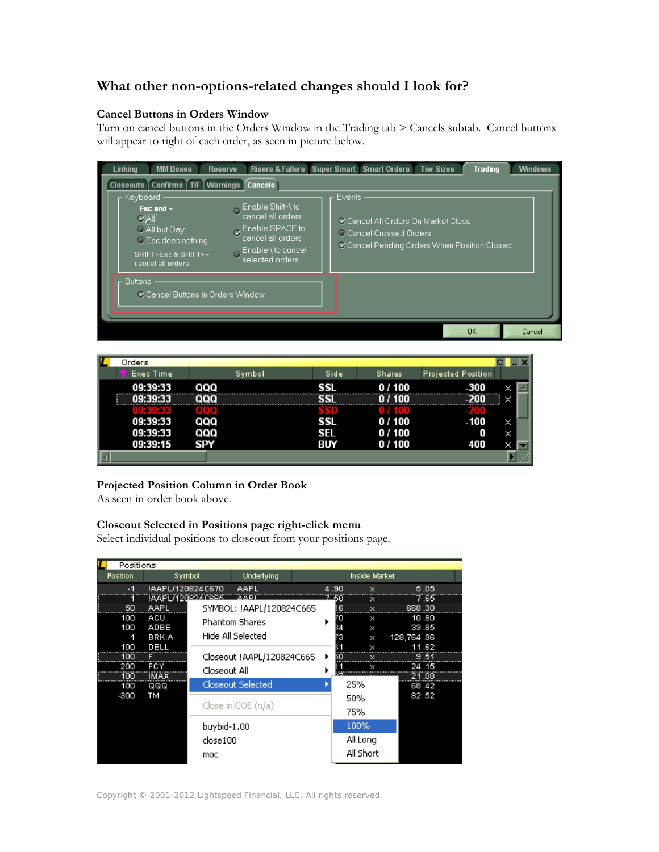# **What other non-options-related changes should I look for?**

### **Cancel Buttons in Orders Window**

Turn on cancel buttons in the Orders Window in the Trading tab > Cancels subtab. Cancel buttons will appear to right of each order, as seen in picture below.

| <b>MM Boxes</b><br><b>Linking</b>                                                                                                                              | <b>Reserve</b>                                                                                                                                                 | Risers & Fallers   Super Smart   Smart Orders  <br><b>Tier Sizes</b><br><b>Trading</b>                                       | <b>Windows</b> |
|----------------------------------------------------------------------------------------------------------------------------------------------------------------|----------------------------------------------------------------------------------------------------------------------------------------------------------------|------------------------------------------------------------------------------------------------------------------------------|----------------|
| Closeouts   Confirms   TIF<br>Keyboard<br>Esc and $\sim$<br>$V$ All<br>C All but Day<br><b>C</b> Esc does nothing<br>SHIFT+Esc & SHIFT+~<br>cancel all orders. | <b>Warnings Cancels</b><br>Enable Shift+\to<br>cancel all orders<br>Enable SPACE to<br>cancel all orders<br>Enable \to cancel<br>$\sqrt{2}$<br>selected orders | Events:<br>Cancel All Orders On Market Close<br><b>C Cancel Crossed Orders</b><br>Cancel Pending Orders When Position Closed |                |
| <b>Buttons</b><br>Cancel Buttons In Orders Window                                                                                                              |                                                                                                                                                                | <b>OK</b>                                                                                                                    | Cancel         |

| v | Orders              |            |      |               |                           |   |  |
|---|---------------------|------------|------|---------------|---------------------------|---|--|
|   | Exec Time           | Symbol     | Side | <b>Shares</b> | <b>Projected Position</b> |   |  |
|   | 09:39:33            | aaa        | SSL  | 0 / 100       | -300                      | × |  |
|   | ------------------- |            |      |               |                           | × |  |
|   |                     |            |      | n zamn        |                           |   |  |
|   | 09:39:33            | aaa        | SSL  | 0 / 100       | -100                      | × |  |
|   | 09:39:33            | aaa        | SEL  | 0/100         | 0                         |   |  |
|   | 09:39:15            | <b>SPY</b> | BUY  | 0/100         | 400                       |   |  |
|   |                     |            |      |               |                           |   |  |

## **Projected Position Column in Order Book**

As seen in order book above.

## **Closeout Selected in Positions page right-click menu**

Select individual positions to closeout from your positions page.

| Positions       |                  |              |                           |      |               |            |      |
|-----------------|------------------|--------------|---------------------------|------|---------------|------------|------|
| <b>Position</b> |                  | Symbol       | Underlying                |      | Inside Market |            |      |
| $-1$            | !AAPL/120824C670 |              | AAPL                      | 4.90 | $\times$      |            | 5.05 |
|                 | !AAPL/120824C665 |              | <b>AAPI</b>               | 7.50 | ×             |            | 7.65 |
| 50              | AAPL             |              | SYMBOL: !AAPL/120824C665  | 6    | $\times$      | 668.30     |      |
| 100             | ACU              |              | <b>Phantom Shares</b>     |      | ×             | 10.80      |      |
| 100             | ADBE             |              |                           |      | ×             | 33.85      |      |
| 1               | BRK.A            |              | Hide All Selected         | 3    | ×             | 128,764.96 |      |
| 100             | DELL             |              |                           |      | ×             | 11.62      |      |
| 100             |                  |              | Closeout !AAPL/120824C665 |      |               |            | 9.51 |
| 200             | FCY              | Closeout All |                           |      |               | 24.15      |      |
| 100             | <b>IMAX</b>      |              |                           |      |               | 21.08      |      |
| 100             | QQQ              |              | Closeout Selected         |      | 25%           | 68.42      |      |
| $-300$          | ТM               |              |                           |      | 50%           | 82.52      |      |
|                 |                  |              | Close in $COE(n/a)$       |      | 75%           |            |      |
|                 |                  | buybid-1.00  |                           |      | 100%          |            |      |
|                 |                  |              |                           |      |               |            |      |
|                 |                  | close100     |                           |      | All Long      |            |      |
|                 |                  | moc          |                           |      | All Short     |            |      |
|                 |                  |              |                           |      |               |            |      |